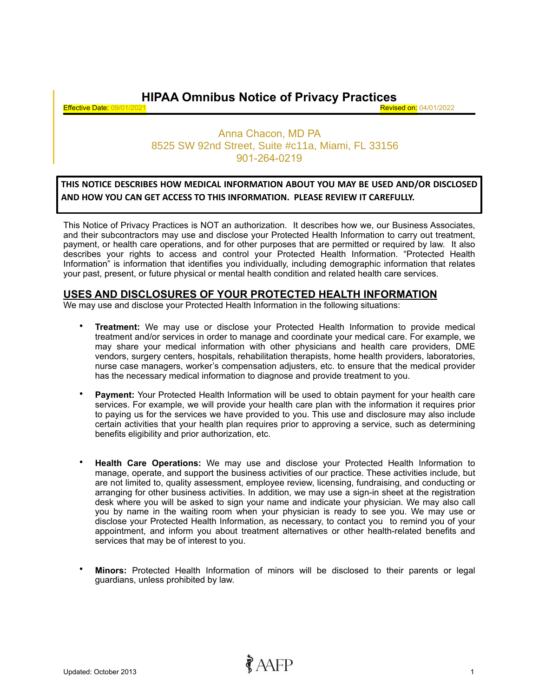**HIPAA Omnibus Notice of Privacy Practices**

**Effective Date: 09/01/2021** 

# Anna Chacon, MD PA 901-264-0219 8525 SW 92nd Street, Suite #c11a, Miami, FL 33156

### **THIS NOTICE DESCRIBES HOW MEDICAL INFORMATION ABOUT YOU MAY BE USED AND/OR DISCLOSED AND HOW YOU CAN GET ACCESS TO THIS INFORMATION. PLEASE REVIEW IT CAREFULLY.**

This Notice of Privacy Practices is NOT an authorization. It describes how we, our Business Associates, and their subcontractors may use and disclose your Protected Health Information to carry out treatment, payment, or health care operations, and for other purposes that are permitted or required by law. It also describes your rights to access and control your Protected Health Information. "Protected Health Information" is information that identifies you individually, including demographic information that relates your past, present, or future physical or mental health condition and related health care services.

## **USES AND DISCLOSURES OF YOUR PROTECTED HEALTH INFORMATION**

We may use and disclose your Protected Health Information in the following situations:

- **Treatment:** We may use or disclose your Protected Health Information to provide medical treatment and/or services in order to manage and coordinate your medical care. For example, we may share your medical information with other physicians and health care providers, DME vendors, surgery centers, hospitals, rehabilitation therapists, home health providers, laboratories, nurse case managers, worker's compensation adjusters, etc. to ensure that the medical provider has the necessary medical information to diagnose and provide treatment to you.
- **Payment:** Your Protected Health Information will be used to obtain payment for your health care services. For example, we will provide your health care plan with the information it requires prior to paying us for the services we have provided to you. This use and disclosure may also include certain activities that your health plan requires prior to approving a service, such as determining benefits eligibility and prior authorization, etc.
- **Health Care Operations:** We may use and disclose your Protected Health Information to manage, operate, and support the business activities of our practice. These activities include, but are not limited to, quality assessment, employee review, licensing, fundraising, and conducting or arranging for other business activities. In addition, we may use a sign-in sheet at the registration desk where you will be asked to sign your name and indicate your physician. We may also call you by name in the waiting room when your physician is ready to see you. We may use or disclose your Protected Health Information, as necessary, to contact you to remind you of your appointment, and inform you about treatment alternatives or other health-related benefits and services that may be of interest to you.
- **Minors:** Protected Health Information of minors will be disclosed to their parents or legal guardians, unless prohibited by law.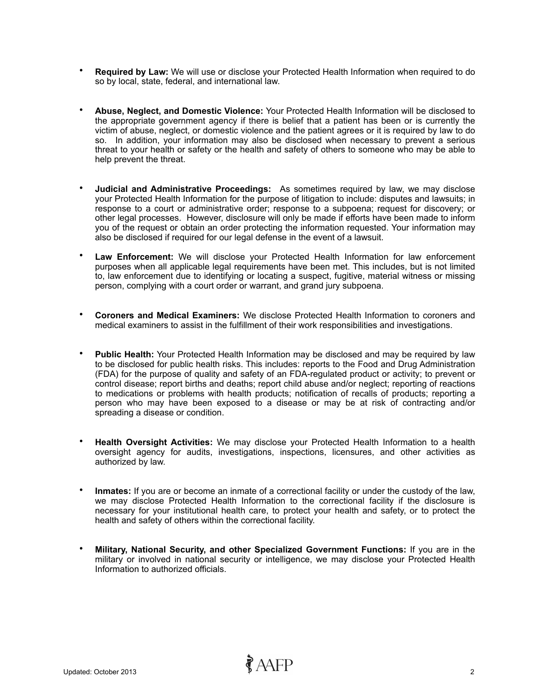- **Required by Law:** We will use or disclose your Protected Health Information when required to do so by local, state, federal, and international law.
- **Abuse, Neglect, and Domestic Violence:** Your Protected Health Information will be disclosed to the appropriate government agency if there is belief that a patient has been or is currently the victim of abuse, neglect, or domestic violence and the patient agrees or it is required by law to do so. In addition, your information may also be disclosed when necessary to prevent a serious threat to your health or safety or the health and safety of others to someone who may be able to help prevent the threat.
- **Judicial and Administrative Proceedings:** As sometimes required by law, we may disclose your Protected Health Information for the purpose of litigation to include: disputes and lawsuits; in response to a court or administrative order; response to a subpoena; request for discovery; or other legal processes. However, disclosure will only be made if efforts have been made to inform you of the request or obtain an order protecting the information requested. Your information may also be disclosed if required for our legal defense in the event of a lawsuit.
- **Law Enforcement:** We will disclose your Protected Health Information for law enforcement purposes when all applicable legal requirements have been met. This includes, but is not limited to, law enforcement due to identifying or locating a suspect, fugitive, material witness or missing person, complying with a court order or warrant, and grand jury subpoena.
- **Coroners and Medical Examiners:** We disclose Protected Health Information to coroners and medical examiners to assist in the fulfillment of their work responsibilities and investigations.
- **Public Health:** Your Protected Health Information may be disclosed and may be required by law to be disclosed for public health risks. This includes: reports to the Food and Drug Administration (FDA) for the purpose of quality and safety of an FDA-regulated product or activity; to prevent or control disease; report births and deaths; report child abuse and/or neglect; reporting of reactions to medications or problems with health products; notification of recalls of products; reporting a person who may have been exposed to a disease or may be at risk of contracting and/or spreading a disease or condition.
- **Health Oversight Activities:** We may disclose your Protected Health Information to a health oversight agency for audits, investigations, inspections, licensures, and other activities as authorized by law.
- **Inmates:** If you are or become an inmate of a correctional facility or under the custody of the law, we may disclose Protected Health Information to the correctional facility if the disclosure is necessary for your institutional health care, to protect your health and safety, or to protect the health and safety of others within the correctional facility.
- **Military, National Security, and other Specialized Government Functions:** If you are in the military or involved in national security or intelligence, we may disclose your Protected Health Information to authorized officials.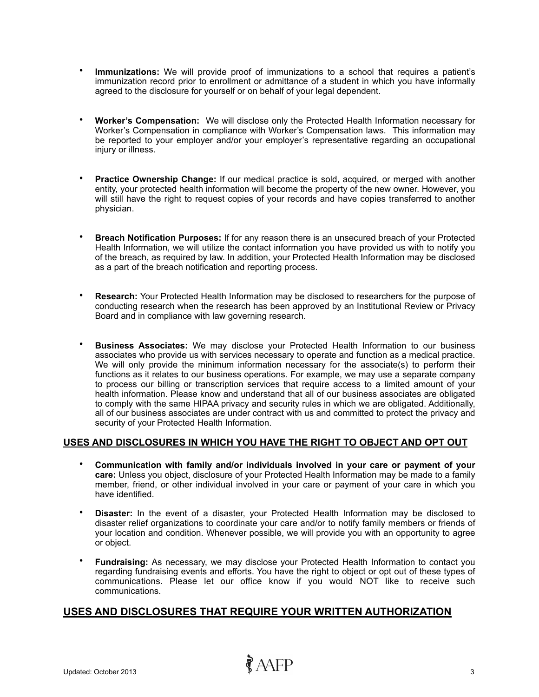- **Immunizations:** We will provide proof of immunizations to a school that requires a patient's immunization record prior to enrollment or admittance of a student in which you have informally agreed to the disclosure for yourself or on behalf of your legal dependent.
- **Worker's Compensation:** We will disclose only the Protected Health Information necessary for Worker's Compensation in compliance with Worker's Compensation laws. This information may be reported to your employer and/or your employer's representative regarding an occupational injury or illness.
- **Practice Ownership Change:** If our medical practice is sold, acquired, or merged with another entity, your protected health information will become the property of the new owner. However, you will still have the right to request copies of your records and have copies transferred to another physician.
- **Breach Notification Purposes:** If for any reason there is an unsecured breach of your Protected Health Information, we will utilize the contact information you have provided us with to notify you of the breach, as required by law. In addition, your Protected Health Information may be disclosed as a part of the breach notification and reporting process.
- **Research:** Your Protected Health Information may be disclosed to researchers for the purpose of conducting research when the research has been approved by an Institutional Review or Privacy Board and in compliance with law governing research.
- **Business Associates:** We may disclose your Protected Health Information to our business associates who provide us with services necessary to operate and function as a medical practice. We will only provide the minimum information necessary for the associate(s) to perform their functions as it relates to our business operations. For example, we may use a separate company to process our billing or transcription services that require access to a limited amount of your health information. Please know and understand that all of our business associates are obligated to comply with the same HIPAA privacy and security rules in which we are obligated. Additionally, all of our business associates are under contract with us and committed to protect the privacy and security of your Protected Health Information.

### **USES AND DISCLOSURES IN WHICH YOU HAVE THE RIGHT TO OBJECT AND OPT OUT**

- **Communication with family and/or individuals involved in your care or payment of your care:** Unless you object, disclosure of your Protected Health Information may be made to a family member, friend, or other individual involved in your care or payment of your care in which you have identified.
- **Disaster:** In the event of a disaster, your Protected Health Information may be disclosed to disaster relief organizations to coordinate your care and/or to notify family members or friends of your location and condition. Whenever possible, we will provide you with an opportunity to agree or object.
- **Fundraising:** As necessary, we may disclose your Protected Health Information to contact you regarding fundraising events and efforts. You have the right to object or opt out of these types of communications. Please let our office know if you would NOT like to receive such communications.

### **USES AND DISCLOSURES THAT REQUIRE YOUR WRITTEN AUTHORIZATION**

 $\partial^2 A$ FP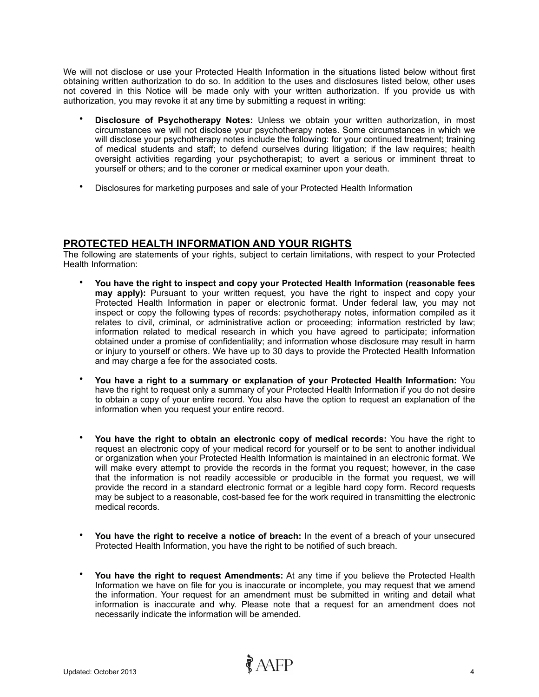We will not disclose or use your Protected Health Information in the situations listed below without first obtaining written authorization to do so. In addition to the uses and disclosures listed below, other uses not covered in this Notice will be made only with your written authorization. If you provide us with authorization, you may revoke it at any time by submitting a request in writing:

- **Disclosure of Psychotherapy Notes:** Unless we obtain your written authorization, in most circumstances we will not disclose your psychotherapy notes. Some circumstances in which we will disclose your psychotherapy notes include the following: for your continued treatment; training of medical students and staff; to defend ourselves during litigation; if the law requires; health oversight activities regarding your psychotherapist; to avert a serious or imminent threat to yourself or others; and to the coroner or medical examiner upon your death.
- Disclosures for marketing purposes and sale of your Protected Health Information

### **PROTECTED HEALTH INFORMATION AND YOUR RIGHTS**

The following are statements of your rights, subject to certain limitations, with respect to your Protected Health Information:

- **You have the right to inspect and copy your Protected Health Information (reasonable fees may apply):** Pursuant to your written request, you have the right to inspect and copy your Protected Health Information in paper or electronic format. Under federal law, you may not inspect or copy the following types of records: psychotherapy notes, information compiled as it relates to civil, criminal, or administrative action or proceeding; information restricted by law; information related to medical research in which you have agreed to participate; information obtained under a promise of confidentiality; and information whose disclosure may result in harm or injury to yourself or others. We have up to 30 days to provide the Protected Health Information and may charge a fee for the associated costs.
- **You have a right to a summary or explanation of your Protected Health Information:** You have the right to request only a summary of your Protected Health Information if you do not desire to obtain a copy of your entire record. You also have the option to request an explanation of the information when you request your entire record.
- **You have the right to obtain an electronic copy of medical records:** You have the right to request an electronic copy of your medical record for yourself or to be sent to another individual or organization when your Protected Health Information is maintained in an electronic format. We will make every attempt to provide the records in the format you request; however, in the case that the information is not readily accessible or producible in the format you request, we will provide the record in a standard electronic format or a legible hard copy form. Record requests may be subject to a reasonable, cost-based fee for the work required in transmitting the electronic medical records.
- **You have the right to receive a notice of breach:** In the event of a breach of your unsecured Protected Health Information, you have the right to be notified of such breach.
- **You have the right to request Amendments:** At any time if you believe the Protected Health Information we have on file for you is inaccurate or incomplete, you may request that we amend the information. Your request for an amendment must be submitted in writing and detail what information is inaccurate and why. Please note that a request for an amendment does not necessarily indicate the information will be amended.

 $\partial^2 A$ FP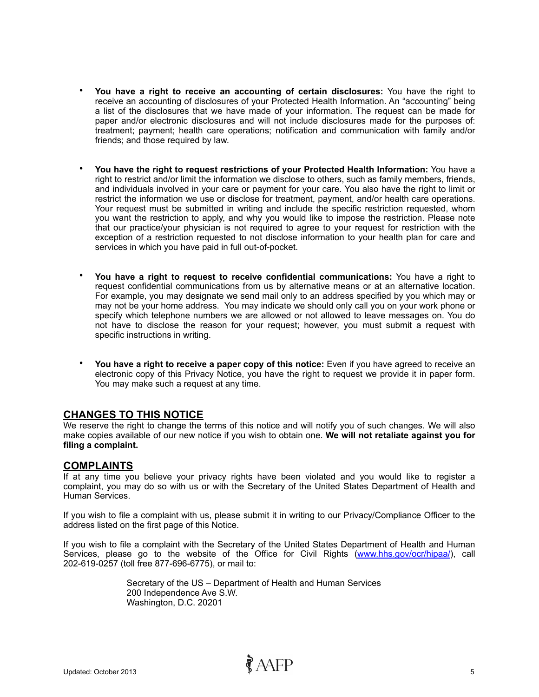- **You have a right to receive an accounting of certain disclosures:** You have the right to receive an accounting of disclosures of your Protected Health Information. An "accounting" being a list of the disclosures that we have made of your information. The request can be made for paper and/or electronic disclosures and will not include disclosures made for the purposes of: treatment; payment; health care operations; notification and communication with family and/or friends; and those required by law.
- **You have the right to request restrictions of your Protected Health Information:** You have a right to restrict and/or limit the information we disclose to others, such as family members, friends, and individuals involved in your care or payment for your care. You also have the right to limit or restrict the information we use or disclose for treatment, payment, and/or health care operations. Your request must be submitted in writing and include the specific restriction requested, whom you want the restriction to apply, and why you would like to impose the restriction. Please note that our practice/your physician is not required to agree to your request for restriction with the exception of a restriction requested to not disclose information to your health plan for care and services in which you have paid in full out-of-pocket.
- **You have a right to request to receive confidential communications:** You have a right to request confidential communications from us by alternative means or at an alternative location. For example, you may designate we send mail only to an address specified by you which may or may not be your home address. You may indicate we should only call you on your work phone or specify which telephone numbers we are allowed or not allowed to leave messages on. You do not have to disclose the reason for your request; however, you must submit a request with specific instructions in writing.
- **You have a right to receive a paper copy of this notice:** Even if you have agreed to receive an electronic copy of this Privacy Notice, you have the right to request we provide it in paper form. You may make such a request at any time.

#### **CHANGES TO THIS NOTICE**

We reserve the right to change the terms of this notice and will notify you of such changes. We will also make copies available of our new notice if you wish to obtain one. **We will not retaliate against you for filing a complaint.**

#### **COMPLAINTS**

If at any time you believe your privacy rights have been violated and you would like to register a complaint, you may do so with us or with the Secretary of the United States Department of Health and Human Services.

If you wish to file a complaint with us, please submit it in writing to our Privacy/Compliance Officer to the address listed on the first page of this Notice.

If you wish to file a complaint with the Secretary of the United States Department of Health and Human Services, please go to the website of the Office for Civil Rights [\(www.hhs.gov/ocr/hipaa/\)](http://www.hhs.gov/ocr/hipaa/), call 202-619-0257 (toll free 877-696-6775), or mail to:

 $\partial^2 A$ FP

Secretary of the US – Department of Health and Human Services 200 Independence Ave S.W. Washington, D.C. 20201